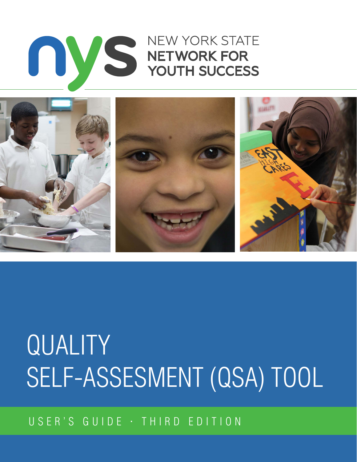# USER'S GUIDE · THIRD EDITION

# QUALITY SELF-ASSESMENT (QSA) TOOL



# **NEW YORK STATE** THE MERIDIAN STATE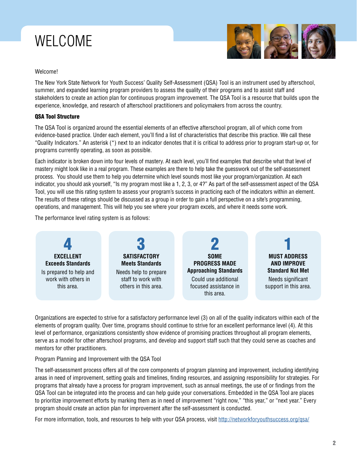# WELCOME



### Welcome!

The New York State Network for Youth Success' Quality Self-Assessment (QSA) Tool is an instrument used by afterschool, summer, and expanded learning program providers to assess the quality of their programs and to assist staff and stakeholders to create an action plan for continuous program improvement. The QSA Tool is a resource that builds upon the experience, knowledge, and research of afterschool practitioners and policymakers from across the country.

### QSA Tool Structure

The QSA Tool is organized around the essential elements of an effective afterschool program, all of which come from evidence-based practice. Under each element, you'll find a list of characteristics that describe this practice. We call these "Quality Indicators." An asterisk (\*) next to an indicator denotes that it is critical to address prior to program start-up or, for programs currently operating, as soon as possible.

Each indicator is broken down into four levels of mastery. At each level, you'll find examples that describe what that level of mastery might look like in a real program. These examples are there to help take the guesswork out of the self-assessment process. You should use them to help you determine which level sounds most like your program/organization. At each indicator, you should ask yourself, "Is my program most like a 1, 2, 3, or 4?" As part of the self-assessment aspect of the QSA Tool, you will use this rating system to assess your program's success in practicing each of the indicators within an element. The results of these ratings should be discussed as a group in order to gain a full perspective on a site's programming, operations, and management. This will help you see where your program excels, and where it needs some work.

The performance level rating system is as follows:



Organizations are expected to strive for a satisfactory performance level (3) on all of the quality indicators within each of the elements of program quality. Over time, programs should continue to strive for an excellent performance level (4). At this level of performance, organizations consistently show evidence of promising practices throughout all program elements, serve as a model for other afterschool programs, and develop and support staff such that they could serve as coaches and mentors for other practitioners.

Program Planning and Improvement with the QSA Tool

The self-assessment process offers all of the core components of program planning and improvement, including identifying areas in need of improvement, setting goals and timelines, finding resources, and assigning responsibility for strategies. For programs that already have a process for program improvement, such as annual meetings, the use of or findings from the QSA Tool can be integrated into the process and can help guide your conversations. Embedded in the QSA Tool are places to prioritize improvement efforts by marking them as in need of improvement "right now," "this year," or "next year." Every program should create an action plan for improvement after the self-assessment is conducted.

For more information, tools, and resources to help with your QSA process, visit <http://networkforyouthsuccess.org/qsa/>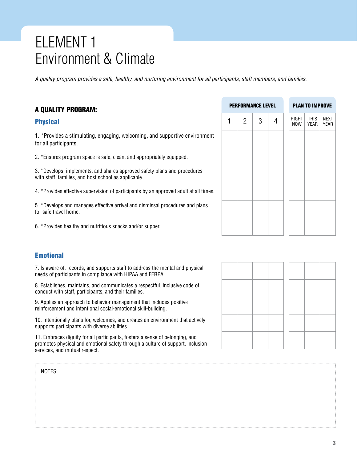# ELEMENT 1 Environment & Climate

*A quality program provides a safe, healthy, and nurturing environment for all participants, staff members, and families.*

### A QUALITY PROGRAM:

### Physical

1. \*Provides a stimulating, engaging, welcoming, and supportive environment for all participants.

2. \*Ensures program space is safe, clean, and appropriately equipped.

3. \*Develops, implements, and shares approved safety plans and procedures with staff, families, and host school as applicable.

4. \*Provides effective supervision of participants by an approved adult at all times.

5. \*Develops and manages effective arrival and dismissal procedures and plans for safe travel home.

6. \*Provides healthy and nutritious snacks and/or supper.

### **Emotional**

7. Is aware of, records, and supports staff to address the mental and physical needs of participants in compliance with HIPAA and FERPA.

8. Establishes, maintains, and communicates a respectful, inclusive code of conduct with staff, participants, and their families.

9. Applies an approach to behavior management that includes positive reinforcement and intentional social-emotional skill-building.

10. Intentionally plans for, welcomes, and creates an environment that actively supports participants with diverse abilities.

11. Embraces dignity for all participants, fosters a sense of belonging, and promotes physical and emotional safety through a culture of support, inclusion services, and mutual respect.

|   |                | <b>PERFORMANCE LEVEL</b> |   |              | <b>PLAN TO IMPROVE</b> |                            |
|---|----------------|--------------------------|---|--------------|------------------------|----------------------------|
| 1 | $\overline{2}$ | 3                        | 4 | RIGHT<br>NOW | <b>THIS</b><br>YEAR    | <b>NEXT</b><br><b>YEAR</b> |
|   |                |                          |   |              |                        |                            |
|   |                |                          |   |              |                        |                            |
|   |                |                          |   |              |                        |                            |
|   |                |                          |   |              |                        |                            |
|   |                |                          |   |              |                        |                            |
|   |                |                          |   |              |                        |                            |

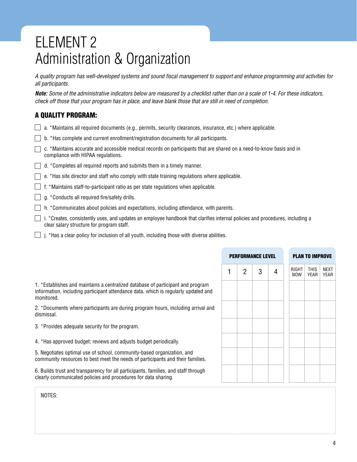# ELEMENT 2 Administration & Organization

*A quality program has well-developed systems and sound fiscal management to support and enhance programming and activities for all participants.*

*Note: Some of the administrative indicators below are measured by a checklist rather than on a scale of 1-4. For these indicators, check off those that your program has in place, and leave blank those that are still in need of completion.* 

# A QUALITY PROGRAM:

- $\Box$  a. \*Maintains all required documents (e.g., permits, security clearances, insurance, etc.) where applicable.
- $\Box$  b. \*Has complete and current enrollment/registration documents for all participants.
- $\Box$  c. \*Maintains accurate and accessible medical records on participants that are shared on a need-to-know basis and in compliance with HIPAA regulations.
- $\Box$  d. \*Completes all required reports and submits them in a timely manner.
- $\Box$  e. \*Has site director and staff who comply with state training regulations where applicable.
- $\Box$  f. \*Maintains staff-to-participant ratio as per state regulations when applicable.
- $\Box$  g. \*Conducts all required fire/safety drills.
- $\Box$  h. \*Communicates about policies and expectations, including attendance, with parents.
- $\Box$  i. \*Creates, consistently uses, and updates an employee handbook that clarifies internal policies and procedures, including a clear salary structure for program staff.
- $\Box$  i. \*Has a clear policy for inclusion of all youth, including those with diverse abilities.

| <b>PERFORMANCE LEVEL</b> |   |   |   |  | <b>PLAN TO IMPROVE</b> |                                    |
|--------------------------|---|---|---|--|------------------------|------------------------------------|
|                          | 2 | 3 | 4 |  | <b>THIS</b>            | <b>NEXT</b><br><b>YEAR</b>         |
|                          |   |   |   |  |                        |                                    |
|                          |   |   |   |  |                        |                                    |
|                          |   |   |   |  |                        |                                    |
|                          |   |   |   |  |                        |                                    |
|                          |   |   |   |  |                        |                                    |
|                          |   |   |   |  |                        |                                    |
|                          |   |   |   |  |                        | RIGHT<br><b>NOW</b><br><b>YEAR</b> |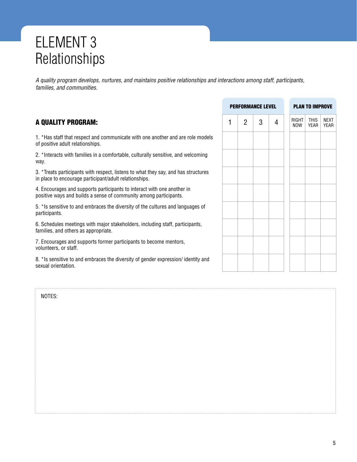# ELEMENT 3 Relationships

*A quality program develops, nurtures, and maintains positive relationships and interactions among staff, participants, families, and communities.*

# A QUALITY PROGRAM:

1. \*Has staff that respect and communicate with one another and are role models of positive adult relationships.

2. \*Interacts with families in a comfortable, culturally sensitive, and welcoming way.

3. \*Treats participants with respect, listens to what they say, and has structures in place to encourage participant/adult relationships.

4. Encourages and supports participants to interact with one another in positive ways and builds a sense of community among participants.

5. \*Is sensitive to and embraces the diversity of the cultures and languages of participants.

6. Schedules meetings with major stakeholders, including staff, participants, families, and others as appropriate.

7. Encourages and supports former participants to become mentors, volunteers, or staff.

8. \*Is sensitive to and embraces the diversity of gender expression/ identity and sexual orientation.

|   |                | <b>PERFORMANCE LEVEL</b> |                   |  |                     | <b>PLAN TO IMPROVE</b> |  |
|---|----------------|--------------------------|-------------------|--|---------------------|------------------------|--|
| 1 | $\overline{2}$ | 3                        | RIGHT<br>4<br>NOW |  | <b>THIS</b><br>YEAR | <b>NEXT</b><br>YEAR    |  |
|   |                |                          |                   |  |                     |                        |  |
|   |                |                          |                   |  |                     |                        |  |
|   |                |                          |                   |  |                     |                        |  |
|   |                |                          |                   |  |                     |                        |  |
|   |                |                          |                   |  |                     |                        |  |
|   |                |                          |                   |  |                     |                        |  |
|   |                |                          |                   |  |                     |                        |  |
|   |                |                          |                   |  |                     |                        |  |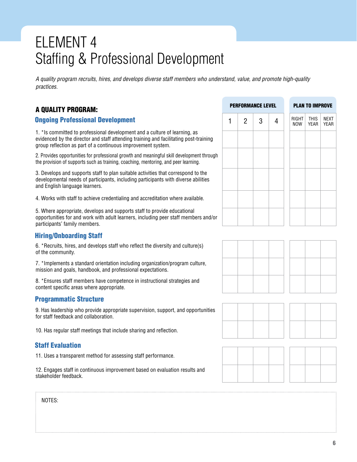# ELEMENT 4 Staffing & Professional Development

*A quality program recruits, hires, and develops diverse staff members who understand, value, and promote high-quality practices.*

# A QUALITY PROGRAM:

### Ongoing Professional Development

1. \*Is committed to professional development and a culture of learning, as evidenced by the director and staff attending training and facilitating post-training group reflection as part of a continuous improvement system.

2. Provides opportunities for professional growth and meaningful skill development through the provision of supports such as training, coaching, mentoring, and peer learning.

3. Develops and supports staff to plan suitable activities that correspond to the developmental needs of participants, including participants with diverse abilities and English language learners.

4. Works with staff to achieve credentialing and accreditation where available.

5. Where appropriate, develops and supports staff to provide educational opportunities for and work with adult learners, including peer staff members and/or participants' family members.

### Hiring/Onboarding Staff

6. \*Recruits, hires, and develops staff who reflect the diversity and culture(s) of the community.

7. \*Implements a standard orientation including organization/program culture, mission and goals, handbook, and professional expectations.

8. \*Ensures staff members have competence in instructional strategies and content specific areas where appropriate.

### Programmatic Structure

9. Has leadership who provide appropriate supervision, support, and opportunities for staff feedback and collaboration.

10. Has regular staff meetings that include sharing and reflection.

### Staff Evaluation

11. Uses a transparent method for assessing staff performance.

12. Engages staff in continuous improvement based on evaluation results and stakeholder feedback.

### PERFORMANCE LEVEL PLAN TO IMPROVE

| $\overline{2}$ | 3 | Δ | RIGHT THIS<br>NOW | YEAR | <b>NEXT</b><br>YEAR |
|----------------|---|---|-------------------|------|---------------------|
|                |   |   |                   |      |                     |
|                |   |   |                   |      |                     |
|                |   |   |                   |      |                     |
|                |   |   |                   |      |                     |
|                |   |   |                   |      |                     |





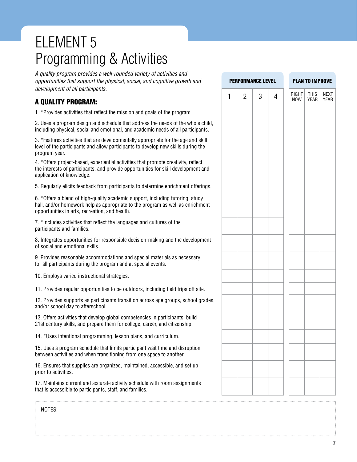# ELEMENT 5 Programming & Activities

*A quality program provides a well-rounded variety of activities and opportunities that support the physical, social, and cognitive growth and development of all participants.*

# A QUALITY PROGRAM:

1. \*Provides activities that reflect the mission and goals of the program.

2. Uses a program design and schedule that address the needs of the whole child, including physical, social and emotional, and academic needs of all participants.

3. \*Features activities that are developmentally appropriate for the age and skill level of the participants and allow participants to develop new skills during the program year.

4. \*Offers project-based, experiential activities that promote creativity, reflect the interests of participants, and provide opportunities for skill development and application of knowledge.

5. Regularly elicits feedback from participants to determine enrichment offerings.

6. \*Offers a blend of high-quality academic support, including tutoring, study hall, and/or homework help as appropriate to the program as well as enrichment opportunities in arts, recreation, and health.

7. \*Includes activities that reflect the languages and cultures of the participants and families.

8. Integrates opportunities for responsible decision-making and the development of social and emotional skills.

9. Provides reasonable accommodations and special materials as necessary for all participants during the program and at special events.

10. Employs varied instructional strategies.

11. Provides regular opportunities to be outdoors, including field trips off site.

12. Provides supports as participants transition across age groups, school grades, and/or school day to afterschool.

13. Offers activities that develop global competencies in participants, build 21st century skills, and prepare them for college, career, and citizenship.

14. \*Uses intentional programming, lesson plans, and curriculum.

15. Uses a program schedule that limits participant wait time and disruption between activities and when transitioning from one space to another.

16. Ensures that supplies are organized, maintained, accessible, and set up prior to activities.

17. Maintains current and accurate activity schedule with room assignments that is accessible to participants, staff, and families.

|              |                | <b>PERFORMANCE LEVEL</b> |   | <b>PLAN TO IMPROVE</b> |                            |                            |
|--------------|----------------|--------------------------|---|------------------------|----------------------------|----------------------------|
| $\mathbf{1}$ | $\overline{2}$ | 3                        | 4 | RIGHT<br><b>NOW</b>    | <b>THIS</b><br><b>YEAR</b> | <b>NEXT</b><br><b>YEAR</b> |
|              |                |                          |   |                        |                            |                            |
|              |                |                          |   |                        |                            |                            |
|              |                |                          |   |                        |                            |                            |
|              |                |                          |   |                        |                            |                            |
|              |                |                          |   |                        |                            |                            |
|              |                |                          |   |                        |                            |                            |
|              |                |                          |   |                        |                            |                            |
|              |                |                          |   |                        |                            |                            |
|              |                |                          |   |                        |                            |                            |
|              |                |                          |   |                        |                            |                            |
|              |                |                          |   |                        |                            |                            |
|              |                |                          |   |                        |                            |                            |
|              |                |                          |   |                        |                            |                            |
|              |                |                          |   |                        |                            |                            |
|              |                |                          |   |                        |                            |                            |
|              |                |                          |   |                        |                            |                            |
|              |                |                          |   |                        |                            |                            |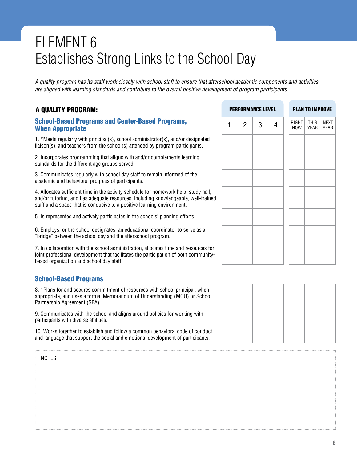# ELEMENT 6 Establishes Strong Links to the School Day

*A quality program has its staff work closely with school staff to ensure that afterschool academic components and activities are aligned with learning standards and contribute to the overall positive development of program participants.*

# A QUALITY PROGRAM:

School-Based Programs and Center-Based Programs, When Appropriate

1. \*Meets regularly with principal(s), school administrator(s), and/or designated liaison(s), and teachers from the school(s) attended by program participants.

2. Incorporates programming that aligns with and/or complements learning standards for the different age groups served.

3. Communicates regularly with school day staff to remain informed of the academic and behavioral progress of participants.

4. Allocates sufficient time in the activity schedule for homework help, study hall, and/or tutoring, and has adequate resources, including knowledgeable, well-trained staff and a space that is conducive to a positive learning environment.

5. Is represented and actively participates in the schools' planning efforts.

6. Employs, or the school designates, an educational coordinator to serve as a "bridge" between the school day and the afterschool program.

7. In collaboration with the school administration, allocates time and resources for joint professional development that facilitates the participation of both communitybased organization and school day staff.

### School-Based Programs

8. \*Plans for and secures commitment of resources with school principal, when appropriate, and uses a formal Memorandum of Understanding (MOU) or School Partnership Agreement (SPA).

9. Communicates with the school and aligns around policies for working with participants with diverse abilities.

10. Works together to establish and follow a common behavioral code of conduct and language that support the social and emotional development of participants.

|   |                | <b>PERFORMANCE LEVEL</b> |   |              | <b>PLAN TO IMPROVE</b> |  |
|---|----------------|--------------------------|---|--------------|------------------------|--|
| 1 | $\overline{2}$ | 3                        | 4 | RIGHT<br>NOW | NEXT<br><b>YEAR</b>    |  |
|   |                |                          |   |              |                        |  |
|   |                |                          |   |              |                        |  |
|   |                |                          |   |              |                        |  |
|   |                |                          |   |              |                        |  |
|   |                |                          |   |              |                        |  |
|   |                |                          |   |              |                        |  |
|   |                |                          |   |              |                        |  |

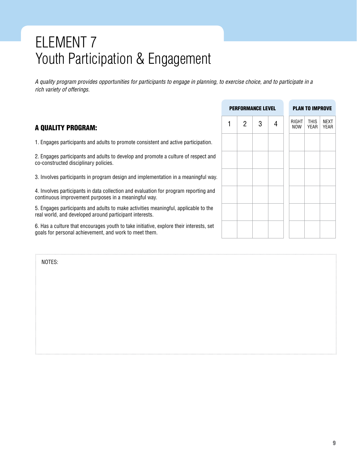# ELEMENT 7 Youth Participation & Engagement

*A quality program provides opportunities for participants to engage in planning, to exercise choice, and to participate in a rich variety of offerings.*

# A QUALITY PROGRAM:

1. Engages participants and adults to promote consistent and active participation.

2. Engages participants and adults to develop and promote a culture of respect and co-constructed disciplinary policies.

3. Involves participants in program design and implementation in a meaningful way.

4. Involves participants in data collection and evaluation for program reporting and continuous improvement purposes in a meaningful way.

5. Engages participants and adults to make activities meaningful, applicable to the real world, and developed around participant interests.

6. Has a culture that encourages youth to take initiative, explore their interests, set goals for personal achievement, and work to meet them.

|   |                | <b>PERFORMANCE LEVEL</b> |   |              | <b>PLAN TO IMPROVE</b> |              |
|---|----------------|--------------------------|---|--------------|------------------------|--------------|
| 1 | $\overline{2}$ | 3                        | 4 | RIGHT<br>NOW | THIS<br>YEAR           | NEXT<br>YEAR |
|   |                |                          |   |              |                        |              |
|   |                |                          |   |              |                        |              |
|   |                |                          |   |              |                        |              |
|   |                |                          |   |              |                        |              |
|   |                |                          |   |              |                        |              |
|   |                |                          |   |              |                        |              |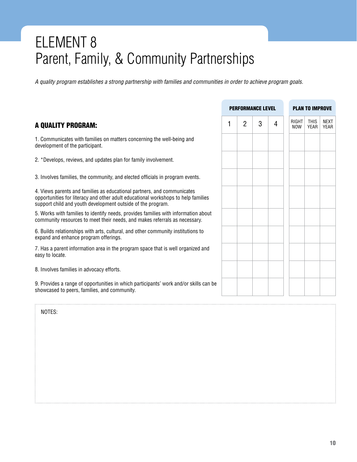# ELEMENT 8 Parent, Family, & Community Partnerships

*A quality program establishes a strong partnership with families and communities in order to achieve program goals.*

# A QUALITY PROGRAM:

1. Communicates with families on matters concerning the well-being and development of the participant.

2. \*Develops, reviews, and updates plan for family involvement.

3. Involves families, the community, and elected officials in program events.

4. Views parents and families as educational partners, and communicates opportunities for literacy and other adult educational workshops to help families support child and youth development outside of the program.

5. Works with families to identify needs, provides families with information about community resources to meet their needs, and makes referrals as necessary.

6. Builds relationships with arts, cultural, and other community institutions to expand and enhance program offerings.

7. Has a parent information area in the program space that is well organized and easy to locate.

8. Involves families in advocacy efforts.

9. Provides a range of opportunities in which participants' work and/or skills can be showcased to peers, families, and community.

|   | <b>PERFORMANCE LEVEL</b> |   |   | <b>PLAN TO IMPROVE</b> |                                           |  |  |  |  |  |
|---|--------------------------|---|---|------------------------|-------------------------------------------|--|--|--|--|--|
| 1 | $\overline{2}$           | 3 | 4 | RIGHT<br><b>NOW</b>    | <b>NEXT</b><br><b>YEAR</b><br><b>YEAR</b> |  |  |  |  |  |
|   |                          |   |   |                        |                                           |  |  |  |  |  |
|   |                          |   |   |                        |                                           |  |  |  |  |  |
|   |                          |   |   |                        |                                           |  |  |  |  |  |
|   |                          |   |   |                        |                                           |  |  |  |  |  |
|   |                          |   |   |                        |                                           |  |  |  |  |  |
|   |                          |   |   |                        |                                           |  |  |  |  |  |
|   |                          |   |   |                        |                                           |  |  |  |  |  |
|   |                          |   |   |                        |                                           |  |  |  |  |  |
|   |                          |   |   |                        |                                           |  |  |  |  |  |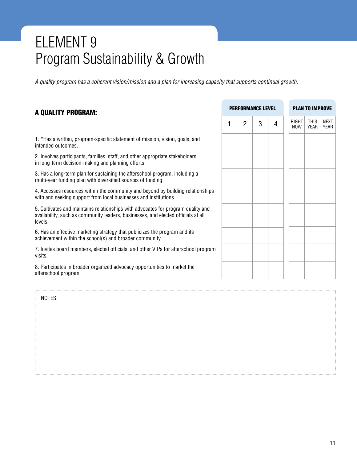# ELEMENT 9 Program Sustainability & Growth

*A quality program has a coherent vision/mission and a plan for increasing capacity that supports continual growth.*

# A QUALITY PROGRAM:

1. \*Has a written, program-specific statement of mission, vision, goals, and intended outcomes.

2. Involves participants, families, staff, and other appropriate stakeholders in long-term decision-making and planning efforts.

3. Has a long-term plan for sustaining the afterschool program, including a multi-year funding plan with diversified sources of funding.

4. Accesses resources within the community and beyond by building relationships with and seeking support from local businesses and institutions.

5. Cultivates and maintains relationships with advocates for program quality and availability, such as community leaders, businesses, and elected officials at all levels.

6. Has an effective marketing strategy that publicizes the program and its achievement within the school(s) and broader community.

7. Invites board members, elected officials, and other VIPs for afterschool program visits.

8. Participates in broader organized advocacy opportunities to market the afterschool program.

|   |                | <b>PERFORMANCE LEVEL</b> |   | <b>PLAN TO IMPROVE</b> |                     |  |  |  |  |  |
|---|----------------|--------------------------|---|------------------------|---------------------|--|--|--|--|--|
| 1 | $\overline{2}$ | 3                        | 4 | RIGHT<br>NOW           | NEXT<br><b>YEAR</b> |  |  |  |  |  |
|   |                |                          |   |                        |                     |  |  |  |  |  |
|   |                |                          |   |                        |                     |  |  |  |  |  |
|   |                |                          |   |                        |                     |  |  |  |  |  |
|   |                |                          |   |                        |                     |  |  |  |  |  |
|   |                |                          |   |                        |                     |  |  |  |  |  |
|   |                |                          |   |                        |                     |  |  |  |  |  |
|   |                |                          |   |                        |                     |  |  |  |  |  |
|   |                |                          |   |                        |                     |  |  |  |  |  |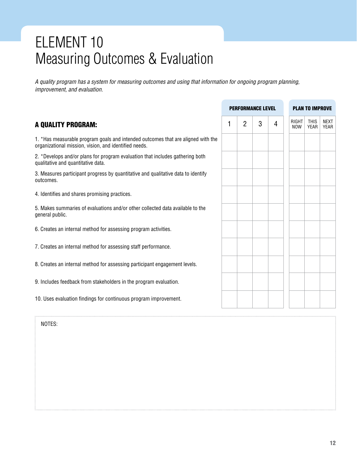# ELEMENT 10 Measuring Outcomes & Evaluation

*A quality program has a system for measuring outcomes and using that information for ongoing program planning, improvement, and evaluation.*

|                                                                                                                                           |   |                | <b>PERFORMANCE LEVEL</b> |   | <b>PLAN TO IMPROVE</b> |                            |                            |  |
|-------------------------------------------------------------------------------------------------------------------------------------------|---|----------------|--------------------------|---|------------------------|----------------------------|----------------------------|--|
| A QUALITY PROGRAM:                                                                                                                        | 1 | $\overline{2}$ | 3                        | 4 | <b>RIGHT</b><br>NOW    | <b>THIS</b><br><b>YEAR</b> | <b>NEXT</b><br><b>YEAR</b> |  |
| 1. *Has measurable program goals and intended outcomes that are aligned with the<br>organizational mission, vision, and identified needs. |   |                |                          |   |                        |                            |                            |  |
| 2. *Develops and/or plans for program evaluation that includes gathering both<br>qualitative and quantitative data.                       |   |                |                          |   |                        |                            |                            |  |
| 3. Measures participant progress by quantitative and qualitative data to identify<br>outcomes.                                            |   |                |                          |   |                        |                            |                            |  |
| 4. Identifies and shares promising practices.                                                                                             |   |                |                          |   |                        |                            |                            |  |
| 5. Makes summaries of evaluations and/or other collected data available to the<br>general public.                                         |   |                |                          |   |                        |                            |                            |  |
| 6. Creates an internal method for assessing program activities.                                                                           |   |                |                          |   |                        |                            |                            |  |
| 7. Creates an internal method for assessing staff performance.                                                                            |   |                |                          |   |                        |                            |                            |  |
| 8. Creates an internal method for assessing participant engagement levels.                                                                |   |                |                          |   |                        |                            |                            |  |
| 9. Includes feedback from stakeholders in the program evaluation.                                                                         |   |                |                          |   |                        |                            |                            |  |
| 10. Uses evaluation findings for continuous program improvement.                                                                          |   |                |                          |   |                        |                            |                            |  |
|                                                                                                                                           |   |                |                          |   |                        |                            |                            |  |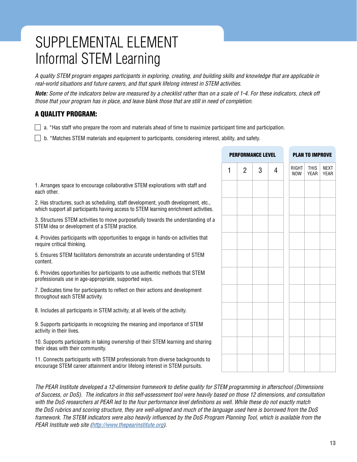# SUPPLEMENTAL ELEMENT Informal STEM Learning

*A quality STEM program engages participants in exploring, creating, and building skills and knowledge that are applicable in real-world situations and future careers, and that spark lifelong interest in STEM activities.* 

*Note: Some of the indicators below are measured by a checklist rather than on a scale of 1-4. For these indicators, check off those that your program has in place, and leave blank those that are still in need of completion.* 

# A QUALITY PROGRAM:

 $\Box$  a. \*Has staff who prepare the room and materials ahead of time to maximize participant time and participation.

 $\Box$  b. \*Matches STEM materials and equipment to participants, considering interest, ability, and safety.

|                                                                                                                                                                            |   |                | <b>PERFORMANCE LEVEL</b> |   |                     | <b>PLAN TO IMPROVE</b> |                     |
|----------------------------------------------------------------------------------------------------------------------------------------------------------------------------|---|----------------|--------------------------|---|---------------------|------------------------|---------------------|
|                                                                                                                                                                            | 1 | $\overline{2}$ | 3                        | 4 | RIGHT<br><b>NOW</b> | <b>THIS</b><br>YEAR    | <b>NEXT</b><br>YEAR |
| 1. Arranges space to encourage collaborative STEM explorations with staff and<br>each other.                                                                               |   |                |                          |   |                     |                        |                     |
| 2. Has structures, such as scheduling, staff development, youth development, etc.,<br>which support all participants having access to STEM learning enrichment activities. |   |                |                          |   |                     |                        |                     |
| 3. Structures STEM activities to move purposefully towards the understanding of a<br>STEM idea or development of a STEM practice.                                          |   |                |                          |   |                     |                        |                     |
| 4. Provides participants with opportunities to engage in hands-on activities that<br>require critical thinking.                                                            |   |                |                          |   |                     |                        |                     |
| 5. Ensures STEM facilitators demonstrate an accurate understanding of STEM<br>content.                                                                                     |   |                |                          |   |                     |                        |                     |
| 6. Provides opportunities for participants to use authentic methods that STEM<br>professionals use in age-appropriate, supported ways.                                     |   |                |                          |   |                     |                        |                     |
| 7. Dedicates time for participants to reflect on their actions and development<br>throughout each STEM activity.                                                           |   |                |                          |   |                     |                        |                     |
| 8. Includes all participants in STEM activity, at all levels of the activity.                                                                                              |   |                |                          |   |                     |                        |                     |
| 9. Supports participants in recognizing the meaning and importance of STEM<br>activity in their lives.                                                                     |   |                |                          |   |                     |                        |                     |
| 10. Supports participants in taking ownership of their STEM learning and sharing<br>their ideas with their community.                                                      |   |                |                          |   |                     |                        |                     |
| 11. Connects participants with STEM professionals from diverse backgrounds to<br>encourage STEM career attainment and/or lifelong interest in STEM pursuits.               |   |                |                          |   |                     |                        |                     |
|                                                                                                                                                                            |   |                |                          |   |                     |                        |                     |

*The PEAR Institute developed a 12-dimension framework to define quality for STEM programming in afterschool (Dimensions of Success, or DoS). The indicators in this self-assessment tool were heavily based on those 12 dimensions, and consultation with the DoS researchers at PEAR led to the four performance level definitions as well. While these do not exactly match the DoS rubrics and scoring structure, they are well-aligned and much of the language used here is borrowed from the DoS framework. The STEM indicators were also heavily influenced by the DoS Program Planning Tool, which is available from the PEAR Institute web site (<http://www.thepearinstitute.org>).*